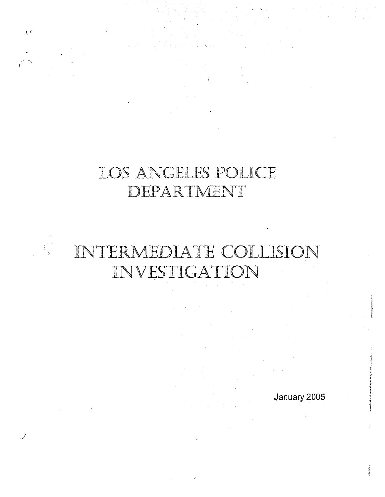## LOS ANGELES POLICE DEPARTMENT

 $\frac{1}{2}$ 



January 2005

f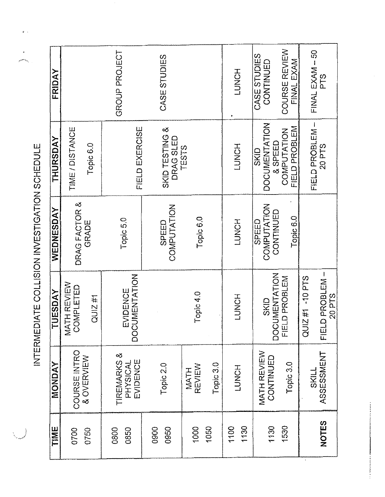| TIME         | MONDAY                              | <b>TUESDAY</b><br>۳                 | WEDNESDAY                         | THURSDAY                                   | FRIDAY                      |
|--------------|-------------------------------------|-------------------------------------|-----------------------------------|--------------------------------------------|-----------------------------|
| 0700         | COURSE INTRO                        | MATH REVIEW<br><b>COMPLETED</b>     | DRAG FACTOR &                     | TIME / DISTANCE                            |                             |
| 0750         | & OVERVIEW                          | QUIZ#1                              | GRADE                             | Topic 6.0                                  |                             |
| 0800<br>0850 | TIREMARKS &<br>PHYSICAL<br>EVIDENCE | <b>DOCUMENTATION</b><br>EVIDENCE    | Topic 5.0                         | FIELD EXERCISE                             | GROUP PROJECT               |
| 0900<br>0950 | Topic 2.0                           |                                     | COMPUTATION<br>SPEED              | SKID TESTING &<br>DRAG SLED                | CASE STUDIES                |
| 1000<br>1050 | REVIEW<br><b>MATH</b>               | Topic 4.0                           | Topic 6.0                         | TESTS                                      |                             |
|              | Topic 3.0                           |                                     |                                   |                                            |                             |
| 1100<br>1130 | LUNCH                               | LUNCH                               | LUNCH                             | HONCH                                      | HONCH                       |
| 1130         | MATH REVIEW<br>CONTINUED            | <b>DOCUMENTATION</b><br><b>SKID</b> | COMPUTATION<br>CONTINUED<br>SPEED | <b>DOCUMENTATION</b><br>& SPEED<br>SKID    | CASE STUDIES<br>CONTINUED   |
| 1530         | Topic 3.0                           | FIELD PROBLEM                       | Topic 6.0                         | <b>FIELD PROBLEM</b><br><b>COMPUTATION</b> | COURSE REVIEW<br>FINAL EXAM |
|              | SKILL                               | QUIZ#1 -10 PTS                      |                                   | FIELD PROBLEM-                             | FINAL EXAM - 50             |
| <b>NOTES</b> | ASSESSMENT                          | FIELD PROBLEM-<br>20 PTS            |                                   | 20 PTS                                     | PTS<br>P                    |

 $\hat{\boldsymbol{\beta}}$ 

 $\frac{1}{2}$ 

INTERMEDIATE COLLISION INVESTIGATION SCHEDULE INTERMEQIATE COLLISION iNVESTIGATlON SCHEDULE

الع<br>يروسونو

 $\mathbf{r}^{\dagger}$  .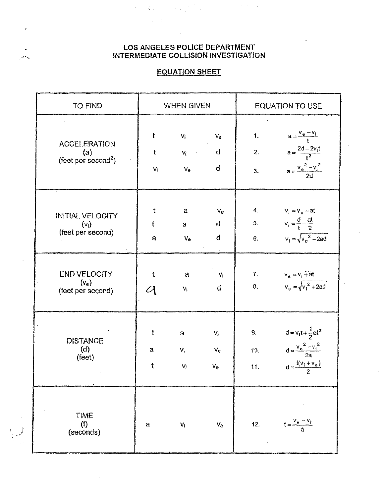$\label{eq:2.1} \mathcal{L}(\mathcal{L}^{\mathcal{L}}_{\mathcal{L}}(\mathcal{L}^{\mathcal{L}}_{\mathcal{L}}(\mathcal{L}^{\mathcal{L}}_{\mathcal{L}}(\mathcal{L}^{\mathcal{L}}_{\mathcal{L}}(\mathcal{L}^{\mathcal{L}}_{\mathcal{L}}(\mathcal{L}^{\mathcal{L}}_{\mathcal{L}}(\mathcal{L}^{\mathcal{L}}_{\mathcal{L}}(\mathcal{L}^{\mathcal{L}}_{\mathcal{L}}(\mathcal{L}^{\mathcal{L}}_{\mathcal{L}}(\mathcal{L}^{\mathcal{L}}_{\mathcal{L}}(\mathcal{L$ 

### **EQUATION SHEET**

| <b>TO FIND</b>                                                | <b>WHEN GIVEN</b>                                                                                 |                                                                                      | <b>EQUATION TO USE</b>                |                     |                                                                                                          |
|---------------------------------------------------------------|---------------------------------------------------------------------------------------------------|--------------------------------------------------------------------------------------|---------------------------------------|---------------------|----------------------------------------------------------------------------------------------------------|
| <b>ACCELERATION</b><br>(a)<br>(feet per second <sup>2</sup> ) | t<br>$V_1$                                                                                        | $\rm V_i$ $\qquad \quad \rm V_e$<br>$f = V_i$ and $d$<br>$V_{\rm e}$ and $V_{\rm e}$ | đ                                     |                     | 1. $a = \frac{v_e - v_i}{t}$<br>2. $a = \frac{2d - 2v_1t}{t^2}$<br>3. $a = \frac{{v_e}^2 - {v_i}^2}{2d}$ |
| <b>INITIAL VELOCITY</b><br>$(v_i)$<br>(feet per second)       | t<br>t<br>a                                                                                       | $\mathbf{a}$<br>$a \qquad$<br>$V_{\mathbf{e}}$                                       | $V_{\mathcal{C}}$<br>đ<br>d           |                     | 4. $v_i = v_e - at$<br>5. $v_i = \frac{d}{t} - \frac{at}{2}$<br>6. $v_i = \sqrt{v_e^2 - 2ad}$            |
| <b>END VELOCITY</b><br>$(v_e)$<br>(feet per second)           | ŧ<br>$\mathcal{U}% _{A}=\mathcal{U}_{A}\!\left( a,b\right) ,\mathcal{U}_{A}\!\left( a,b\right) ,$ | $\mathbf{a}$<br>$V_i$                                                                | $-Vi$<br>$\mathsf{d}$                 |                     | 7. $v_e = v_i + at$<br>8. $v_e = \sqrt{{v_1}^2 + 2ad}$                                                   |
| <b>DISTANCE</b><br>(d)<br>(feet)                              | $\mathfrak t$<br>$\mathbf{a}$<br>$\ddagger$                                                       | a<br>$V_1$<br>V <sub>1</sub>                                                         | $V_{I}$<br>$V_{\rm e}$<br>$V_{\rm e}$ | $9 -$<br>10.<br>11. | $d = v_{i}t + \frac{1}{2}at^{2}$<br>$d = \frac{{v_e}^2 - {v_i}^2}{2a}$<br>$d = \frac{f(v_i + v_e)}{2}$   |
| <b>TIME</b><br>(1)<br>(seconds)                               | а                                                                                                 | $V_i$                                                                                | $\mathsf{V}_\mathsf{e}$               | 12.                 | $t = \frac{v_a - v_i}{\dot{a}}$                                                                          |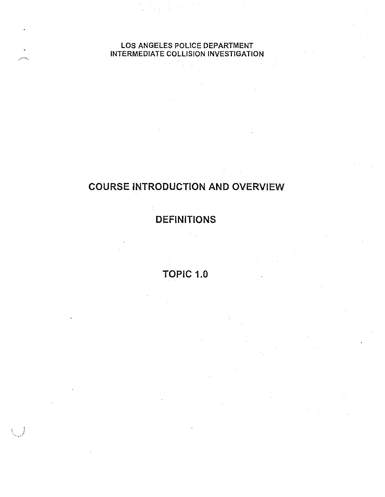## **COURSE INTRODUCTION AND OVERVIEW**

## **DEFINITIONS**

**TOPIC 1.0**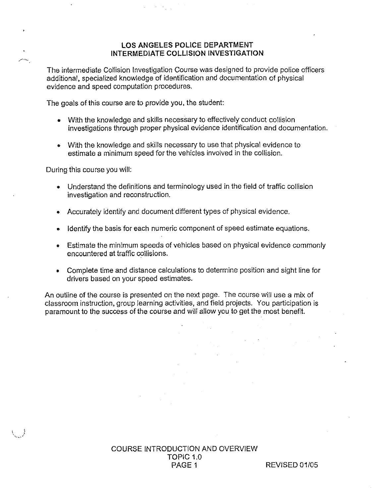The intermediate Collision Investigation Course was designed to provide police officers additional, specialized knowledge of identification and documentation of physical evidence and speed computation procedures.

The goals of this course are to provide you, the student:

- With the knowledge and skills necessary to effectively conduct collision investigations through proper physical evidence identification and documentation.
- With the knowledge and skills necessary to use that physical evidence to estimate a minimum speed for the vehicles involved in the collision.

During this course you will:

أيهاده

- o Understand the definitions and terminology used in the field of traffic collision investigation and reconstruction.
- Accurately identify and document different types of physical evidence.
- e Identify the basis for each numeric component of speed estimate equations.
- e Estimate the minimum speeds of vehicles based on physical evidence commonly encountered at fratfic collisions.
- e Complete time and distance calculations to determine position and sight line for drivers based on your speed estimates.

An outline of the course is presented on the next page. The course will use a mix of classroom instruction, group learning activities, and field projects. You participation is paramount to the success of the course and will allow you to get the most benefit.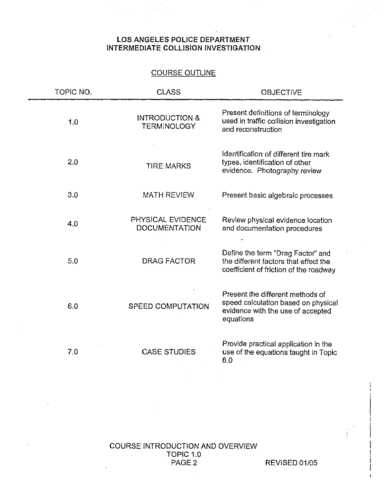#### COURSE dUTLINE

| TOPIC NO. | <b>CLASS</b>                                    | <b>OBJECTIVE</b>                                                                                                          |
|-----------|-------------------------------------------------|---------------------------------------------------------------------------------------------------------------------------|
| 1.0       | <b>INTRODUCTION &amp;</b><br><b>TERMINOLOGY</b> | Present definitions of terminology<br>used in traffic collision investigation<br>and reconstruction                       |
| 2.0       | <b>TIRE MARKS</b>                               | Identification of different tire mark<br>types, identification of other<br>evidence. Photography review                   |
| 3.0       | <b>MATH REVIEW</b>                              | Present basic algebraic processes                                                                                         |
| 4.0       | PHYSICAL EVIDENCE<br><b>DOCUMENTATION</b>       | Review physical evidence location<br>and documentation procedures                                                         |
| 5.0       | <b>DRAG FACTOR</b>                              | Define the term "Drag Factor" and<br>the different factors that effect the<br>coefficient of friction of the roadway      |
| 6.0       | <b>SPEED COMPUTATION</b>                        | Present the different methods of<br>speed calculation based on physical<br>evidence with the use of accepted<br>equations |
| 7.0       | <b>CASE STUDIES</b>                             | Provide practical application in the<br>use of the equations taught in Topic<br>6.0                                       |

COURSE INTRODUCTION AND OVERVIEW TOPIC 1.0<br>PAGE 2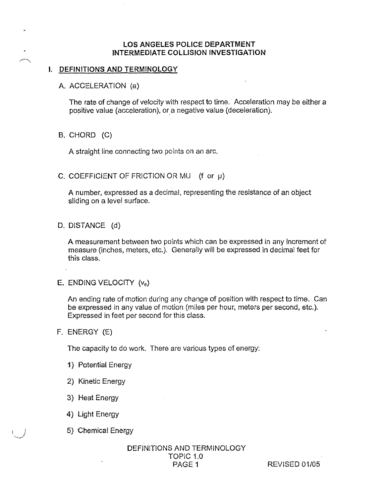#### 1. DEFINITIONS AND TERMINOLOGY

A. ACCELERA710N (a)

The rate of change of velocity with respect to time. Acceleration may be either a positive value (acceleration), ar a negative value (deceleration}.

B. CHORD (C)

.<br>-<br>Al<sup>lega</sup>ria

A straight line connecting two points on an arc.

C. COEFFICIENT OF FRICTION OR MU  $(f \text{ or } \mu)$ 

A number, expressed as a decimal, representing the resistance of an object sliding on a level surface.

D, DISTANCE (d)

A measurement between two points which can be expressed in any increment of measure (inches, meters, etc.). Generally will be expressed in decimal feet for this class.

E. ENDING VELOCITY  $(v_e)$ 

An ending rate of motion during any change of position with respect to time. Can be expressed in any value of motion (miles per hour, meters per second, etc.). Expressed in feet per second for this class.

F. ENERGY (E)

The capacity to do work. There are various types of energy:

- 1) Potential Energy
- 2) Kinetic Energy
- 3} Heaf Energy
- 4) Light Energy
- 5} Chemical Energy

### DEFINITIONS AND TERMINOLOGY TOPIC 1.0<br>PAGE 1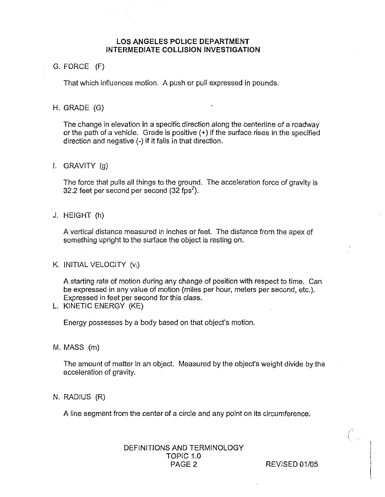#### G. FORCE (F)

That which influences motion. A push or pull expressed in pounds.

#### H. GRADE (G)

The change in elevation in a specific direction along the centerline of a roadway or the path of a vehicle. Grade is positive (+) if the surface rises in the specified direction and negative (-) if it falls in that direction.

f. GRAVITY (g)

The force that pulls all things fo fhe ground. The acceleration force of gravity is 32.2 feet per second per second  $(32$  fps<sup>2</sup>).

J. HEIGHT (h)

A vertical disfance measured in inches or feef. The distance from the apex of something upright to the surface the object is resting on.

K. INITIAL VELOCITY (v;)

A starting rate of motion during any change o€ position with respect to lime. Can be expressed in any value of motion (miles per hour, meters per second, etc.). Expressed in feet per second for this class.

L. K1NETlC ENERGY (KE}

Energy possesses by a body based on that objecf's motion.

M. MASS (m}

The amount of matter in an object. Measured by the object's weight divide by the acceleration of gravity.

N. RADIUS (R)

A line segment from the center of a circle and any point on its circumference.

#### DEFINITIONS AND TERMINOLOGY TOPIC 1.0 PAGE 2 REVISED 01/05

 $\mathcal{C}_{\mathbb{Z}}$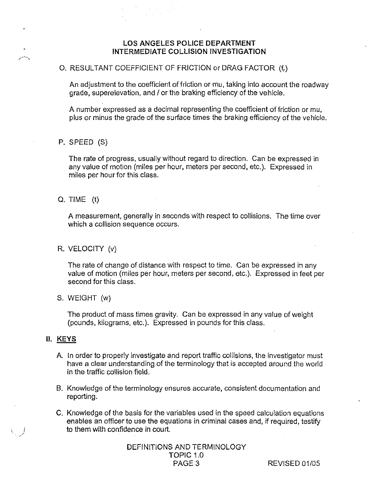#### O. RESULTANT COEFFICIENT OF FRICTION or DRAG FACTOR (f<sub>t</sub>)

An adjustment to the coefficient of friction or mu, faking into account the roadway grade, superelevation, and / or the braking efficiency of the vehicle.

A number expressed as a decimal representing the coefficient of friction or mu, plus or minus the grade of the surface times the braking efficiency of the vehicle.

#### P. SPEED (S}

The rate of progress, usually without regard to direction. Gan be expressed in any value of motion (miles per hour, meters per second, etc.). Expressed in miles per hour for this class.

#### Q. TIME (t}

A measurement, generaily in seconds with respect to collisions. The time over which a collision sequence occurs.

R. VELOCITY (v)

The rate of change of distance with respect to time. Can be expressed in any value of motion (miles per hour, meters per second, etc.). Expressed in feet pet second for this class.

S. WEIGHT (w)

The product of mass times gravity. Can be expressed in any value of weight (pounds, kilograms, etc.). Expressed in pounds for this class.

#### 11, KEY5

- A. In order to properly investigate and report traffic collisions, the investigator must have a clear understanding of the terminology that is accepted around the world in the traffic collision field.
- B. Knowledge of the terminology ensures accurate, consistent documentation and reporting.
- C. Knowledge of the basis for the variables used in the speed calculation equations enables an officer to use the equations in criminal cases and, if required, testify to them with confidence in court.

DEFINITIONS AND TERMINOLOGY TOPIC 1.0<br>PAGE 3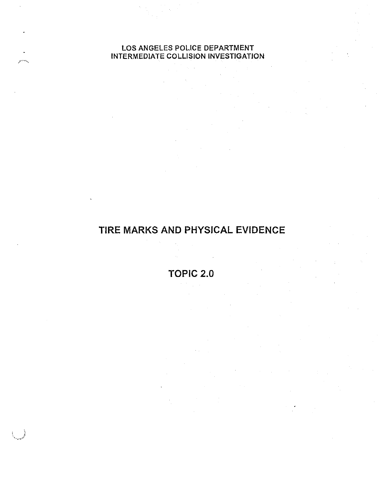## TIRE MARKS AND PHYSICAL EVIDENCE

**TOPIC 2.0**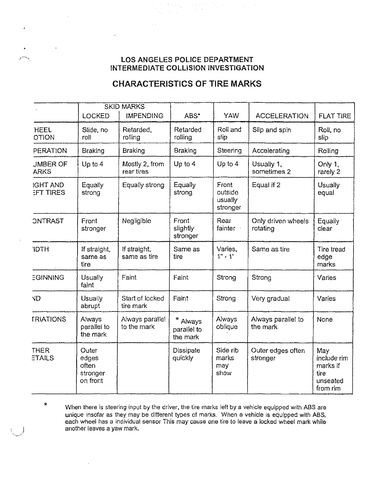$e^{im_{\tau_{n}}}$ 

 $\star$ 

#### **CHARACTERISTICS OF TIRE MARKS**

|                                     | LOCKED                                          | <b>SKID MARKS</b><br><b>IMPENDING</b> | ABS*                                         | <b>YAW</b>                              | <b>ACCELERATION</b>            | <b>FLAT TIRE</b>                                               |
|-------------------------------------|-------------------------------------------------|---------------------------------------|----------------------------------------------|-----------------------------------------|--------------------------------|----------------------------------------------------------------|
| HEEL<br><b>OTION</b>                | Slide, no<br>roll                               | Retarded,<br>rolling                  | Retarded<br>rolling                          | Roll and<br>slip                        | Slip and spin                  | Roll, no<br>slip                                               |
| <b>PERATION</b>                     | <b>Braking</b>                                  | <b>Braking</b>                        | <b>Braking</b>                               | Steering                                | Accelerating                   | Rolling                                                        |
| <b>JMBER OF</b><br><b>ARKS</b>      | Up to $4$                                       | Mostly 2, from<br>rear tires          | Up to $4$                                    | Up to $4$                               | Usually 1,<br>sometimes 2      | Only 1.<br>rarely 2                                            |
| <b>IGHT AND</b><br><b>EFT TIRES</b> | Equally<br>strong                               | Equally strong                        | Equally<br>strong                            | Front<br>outside<br>usually<br>stronger | Equal if 2                     | Usually<br>equal                                               |
| <b>ONTRAST</b>                      | Front<br>stronger                               | Negligible                            | Front<br>slightly<br>stronger                | Rear<br>fainter ·                       | Only driven wheels<br>rotating | Equally<br>clear                                               |
| <b>IDTH</b>                         | If straight,<br>same as<br>tire                 | If straight,<br>same as tire          | Same as<br>tire                              | Varies,<br>$1" - 1'$                    | Same as tire                   | <b>Tire tread</b><br>edge<br>marks                             |
| EGINNING                            | Usually<br>faint                                | Faint                                 | Faint                                        | Strong                                  | Strong                         | Varies                                                         |
| <b>ND</b>                           | Usually<br>abrupt                               | Start of locked<br>tire mark          | Faint                                        | Strong                                  | Very gradual                   | Varies                                                         |
| <b>TRIATIONS</b>                    | Always<br>parallel to<br>the mark               | Always parallel<br>to the mark        | $\star$<br>Always<br>parallel to<br>the mark | Always<br>oblique                       | Always parallel to<br>the mark | None                                                           |
| <b>THER</b><br><b>ETAILS</b>        | Outer<br>edges<br>often<br>stronger<br>on front |                                       | Dissipate<br>quickly                         | Side rib<br>marks<br>may<br>show        | Outer edges often<br>stronger  | May<br>include rim<br>marks if<br>tire<br>unseated<br>from rim |

When there is steering input by the driver, the tire marks left by a vehicle equipped with ABS are unique insofar as they may be different types of marks. When a vehicle is equipped with ABS, each wheel has a individual sensor This may cause one fire to leave a locked wheel mark while another leaves a yaw mark.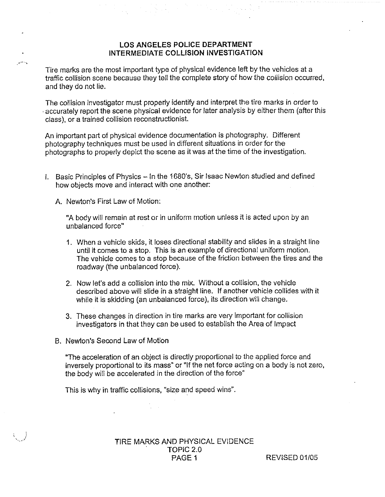Tire marks are the most important type of physical evidence left by the vehicles at a traffic collision scene because they tell the complete story of how the collision occurred, and they do not lie.

The collision investigator must properly identify and interpret the tire marks in order to accurately report the scene physical evidence for later analysis by either them (after this class), or a trained collision reconstructionist.

An important part of physical evidence documentafian is photography. Different photography techniques must be used in different situations in order for the photographs to properly depict the scene as it was at the time of the investigation.

I. Basic Principles of Physics — !n the 1680's, Sir Isaac Newfon studied and defined how objects move and interact with one another.

A. Newton`s First Law of Motion:

<sub>ar</sub>ion.

"A body will remain at rest or in uniform motion unless it is acted upon by an unbalanced force"

- 1. When a vehicle skids, it loses directional stability and slides in a straight line until it comes to a stop. This is an example of directional uniform mofion. The vehicle comes to a stop because of the friction between the tires and the roadway (the unbalanced force).
- 2. Now lef's add a collision info the mix. Wifhout a collision, the vehicle described above will slide in a straight line. If another vehicle collides with it while it is skidding (an unbalanced force), its direction will change.
- 3. These changes in direction in tire marks are very important for collision investigators in that they can be used to establish the Area of impact
- B. Newfon's Second Law of Motion

"The acceleration of an object is directly proportional to the applied force and inversely proportional to its mass" or "If the nef force acting on a body is not zero, the body will be accelerated in fha direction of the force"

This is why in traffic collisions, "size and speed wins".

TIRE MARKS AND PHYSICAL EVIDENCE TOPiG 2.0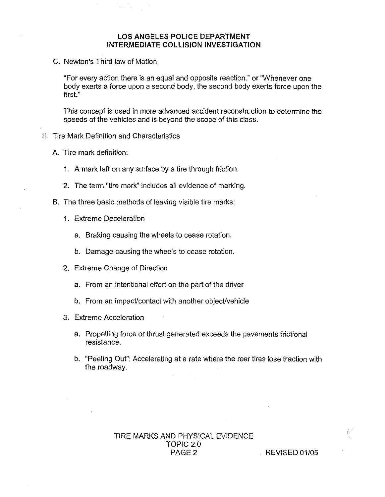C. Newton's Third law of Motion

"For every action there is an equal and opposite reaction." or "Whenever one body exerts a force upon a second body, the second body exerts force upon the first."

This concept is used in more advanced accident reconstruction to determine the speeds of the vehicles and is beyond the scope of this class.

- II. Tire Mark Definition and Characteristics
	- A. Tire mark definition:
		- 1. A mark left on any surface by a tire through friction.
		- 2. The term "tire mark" includes atl evidence of marking.
	- B. The three basic methods of leaving visible tire marks:
		- 1. Extreme Deceleration
			- a. Braking causing the wheels to cease rotation.
			- b. Damage causing the wheels to cease rotation.
		- 2. Extreme Change of Direction
			- a. From an intentional effort on the part of the driver
			- b. From an impact/contact with another object/vehicle
		- 3. Extreme Acceleration
			- a. Propelling force or thrust generated exceeds the pavements frictional resistance.
			- 6. "Peeling OuY': Accelerating at a rate where the rear tires lose fraction with the roadway.

 $\hat{V}^2$ 

#### TIRE MARKS AND PHYSICAL EVIdENCE TOPIC 2.0  $R$ EVISED 01/05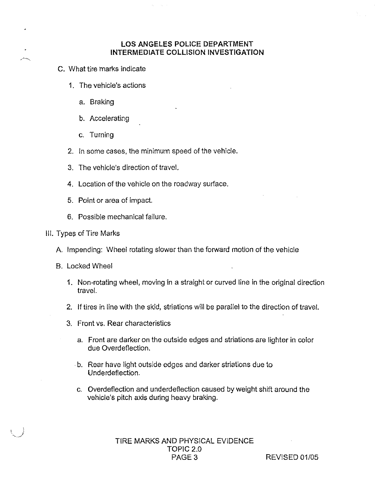- C. What tire marks indicate
	- 1. The vehicle's actions
		- a. Braking
		- b. Accelerating
		- c. Turning
	- 2. in some cases, the minimum speed of the vehicle.
	- 3. The vehicle's direction of travel,
	- 4. Location of the vehicle on the roadway surface.
	- b. Point or area of impact.
	- 6. Possible mechanical failure.
- III. Types of Tire Marks
	- A. Impending: Wheel rotating slower than the forward motion of the vehicle
	- S. Lacked Wheel
		- 1. Non-rotating wheel, moving'in a straight or curved {ine in the original direction travel.
		- 2. If tires in line with the skid, striations will be parallel to the direction of travel.
		- 3. Front vs. Rear characteristics
			- a. Front are darker on the outside edges and striations are lighter in color due Overdeflection.
			- b. Rear have light outside edges and darker striations due to Underdeflection.
			- c. Overdeflecfion and underdeflection caused by weight shift around the vehicle's pitch axis during heavy braking.

TIRE MARKS AND PHYSICAL EVIDENCE TOPIC 2.0<br>PAGE 3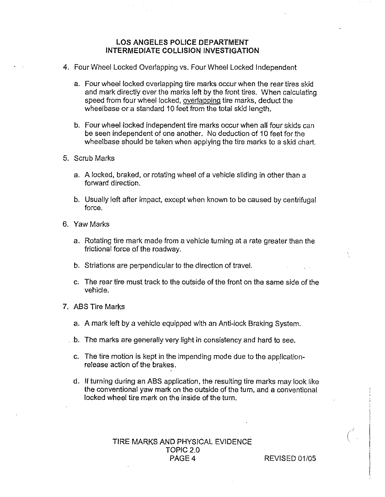- 4. Four Wheel Locked Overlapping vs. Four Wheel Locked independent
	- Four wheel locked overlapping tire marks occur when the rear tires skid and mark directly over the marks left by the front tires. When calculating speed from four wheel locked, overlapping tire marks, deduct the wheelbase or a standard 10 feet from the total skid length.
	- Four wheel locked independent tire marks occur when all four skids can be seen independenf of one another. No deduction of 10 feet for fhe wheelbase should be taken when applying the tire marks to a skid chart.
- 5. Scrub Marks
	- a. A locked, braked, or rotating wheel of a vehicle sliding in other than a forward direction.
	- b. Usually left after impact, except when known to be caused by centrifugal force.
- 6. Yaw Marks
	- a. Rotating tire mark made from a vehicle turning at a rate greater than the frictional force of the roadway.
	- b. Striations are perpendicular to the direction of travel.
	- c. The rear tire must track to the outside of the fronton the same side of the veh icie.
- 7. ABS Tire Marks
	- a. A mark left by a vehicle equipped with an Anti-lock Braking System.
	- $\pm$  b. The marks are generally very light in consistency and hard to see.
		- c. The tire motion is kept in the impending mode due to the applicationrefease action of the brakes.
		- d. If turning during an ABS application, the resulting tire marks may look like the conventional yaw mark on the outside of the turn, and a conventional locked wheel tire mark on the inside of the turn.

#### TIRE MARKS AND PHYSICAL EVIDENCE TOPIC 2.0 PAGE 4 REVISED 01/05

 $\int_0^{\sqrt{2}}$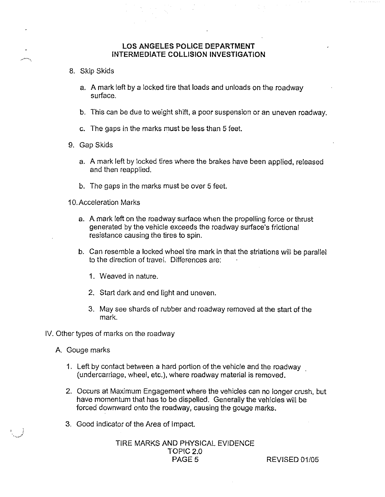- 8. Skip Skids
	- a. A mark left by a locked fire that loads and unloads on the roadway surface.
	- b. This can be due to weight shift, a poor suspension or an uneven roadway.
	- c. The gaps in fhe marks must be less than 5 feet.
- 9. Gap Skids
	- a. A mark left by locked tires where the brakes have been applied, released and then reapplied.
	- b. The gaps in the marks must be over 5 feet.
- 10. Acceleration Marks
	- a. A mark left on the roadway surface when the propelling force or thrust generated by the vehicle exceeds the roadway surface's frictional resistance causing the tires to spin.
	- b. Can resemble a locked wheel tire mark in that the striations will be parallel to the direction of travel. Dififerences are:
		- 1. Weaved in nature.
		- 2. Start dark and end light and uneven.
		- 3. May see shards of rubber and roadway removed at the start of the mark.
- IV. Other types of marks on the roadway
	- A. Gouge marks
		- 1. Left by contact between a hard portion of the vehicle and the roadway (undercarriage, wheel, etc.}, where roadway material is removed.
		- 2. Oceurs at Maximum Engagement where the vehicles can no longer crush, but have momentum that has to be dispelled. Generally the vehicles will be forced downward onto the roadway, causing the gouge marks.
		- 3. Good indicator of the Area of Impact.

## TIRE MARKS AND PHYSICAL EVIDENCE TOPIC 2.0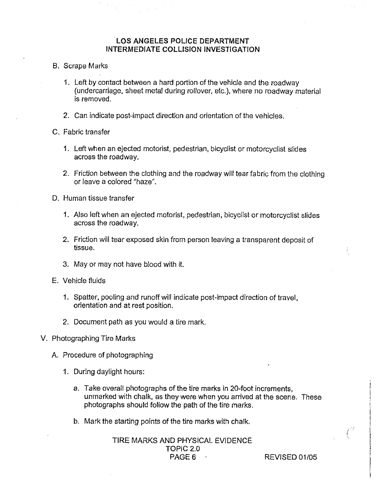- B. Scrape Marks
	- 1. Left by contact between a hard portion of the vehicle and the roadway (undercarriage, sheet metal during rollover, etc.), where no roadway material is removed.
	- 2. Can indicate post-impacf direction and orientation of the vehicles.
- C. Fabric transfer
	- 1. Left when an ejected motorist, pedestrian, bicyclist or motorcyclist slides across fhe roadway.
	- 2. Friction between the clothing and the roadway will tear fahric from the clothing or leave a colored "haze".
- D. Human tissue transfer
	- 1. Also left when an ejected motorist, pedestrian, bicyclist or motorcyclist slides across the roadway.
	- 2. Friction will tear exposed skin from person leaving a transparent deposit of tissue.
	- 3. May or may not have blood with it.
- E. Vehicle fluids
	- 1. Spatter, pooling and runoff will indicate post-impact direction at travel, orientation and at rest position.
	- 2. Document path as you would a tire mark.
- V. Photographing Tire Marks
	- A. Procedure of photographing
		- 3. During daylight hours:
			- a. Take overall photographs of the tire marks in 20-foot increments, unmarked with chalk, as they were when you arrived at the scene. These photographs should follow the path of the tire marks.
			- b. Mark the starting points of the tire marks with chalk.

TIRE MARKS AND PHYSICAL EVIDENCE TOPIC 2.0<br>PAGE 6 .

REVISED 01/05

 $\mathbf{I}$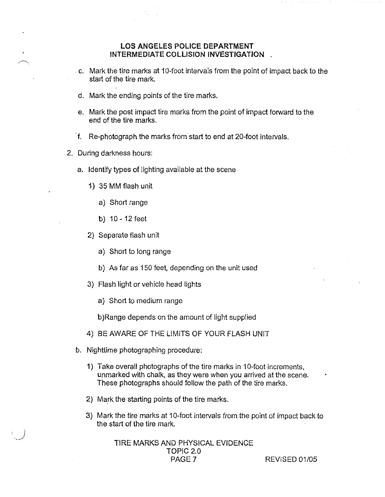- c. Mark the tire marks at 10-foot intervals from the point of impact back fo the start of the tire mark.
- d. Mark the ending points of the tire marks.
- e. Mark the post impact tire marks fram the point of impact forward fo the end of the tire marks.
- f. Re-photograph the marks frorri start to end at 20-foot intervals.
- 2. During darkness hours:
	- a. Identify types of lighting available at the scene
		- 1} 35 MM flash unit
			- a) Short range
			- b} 10 12 feet
		- 2) Separate flash unit
			- a} Short to long range
			- b) As far as 150 feet, depending on the unit used
		- 3) Flash light or vehicle head lights
			- a) Short to medium range

b)Range depends on the amount of light supplied

- 4) BE AWARE OF THE LIMITS OF YOUR FLASH UNIT
- b. Nighttime photographing procedure:
	- 1) Take overall photographs of the tire marks in 10-foot increments, unmarked with chalk, as they were when you arrived at the scene. These photographs should follow the path of the fire marks.
	- 2} Mark the starting points of the tire marks.
	- 3) Mark the fire marks at 10-foot intervals from the point of impact back to the start of the tire mark.

TIRE MARKS AND PHYSICAL EVIDENCE TOPIC 2.0<br>PAGE 7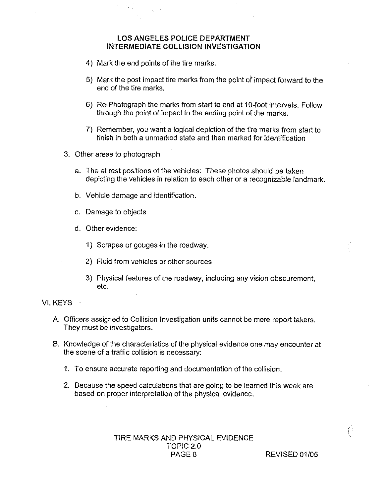- 4) Mark the end points of the tire marks.
- 5} Mark the post impacf fire marks from the point of impact forward to the end of the tire marks.
- 6) Re-Photograph the marks from start to end at 10-foot intervals. Follow through the point of impact to the ending point of the marks.
- 7) Remember, you want a logical depiction of the tire marks from start to finish in both a unmarked state and then marked for identification
- 3. Other areas to photograph
	- a. The at rest positions of the vehicles: These photos should be taken depicting the vehicles in relation fo each ofher or a recognizable landmark.
	- b. Vehicle damage and identification.
	- c. Damage to objects
	- d. Other evidence:
		- 1) Scrapes or gouges in the roadway.
		- 2) fluid from vehicles or other sources
		- 3} Physical features of the roadway, including any vision obscurement, etc.

#### Vi, KEYS

- A. Officers assigned to Collision Investigation units cannot be mere report takers. They must be investigators.
- B. Knowledge of the characteristics of the physical evidence ane may encounter at the scene of a traffic collision is necessary:
	- 1. To ensure accurate reporting and documentation of the coifision.
	- 2. Because the speed calculations that are going to be learned this week are based on proper interpretation of the physical evidence.

TIRE MARKS AND PHYSICAL EVIDENCE TOPIC 2.0 PAGE 8 REVISED 01/05

 $\int_0^{\infty}$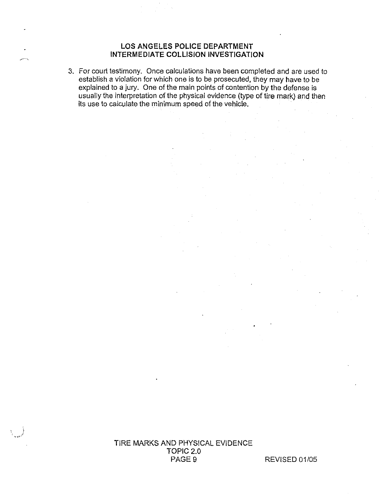3. For court testimony. Once calculations have been completed and are used to establish a violation for which one is to be prosecuted, they may have to be explained to a jury. One of the main points of contention by the defense is usually the interpretation of the physical evidence (type of tire mark) and then its use to calculate the minimum speed of the vehicle.

> TIRE MARKS AND PHYSICAL EVIDENCE TOPIC 2.0 PAGE 9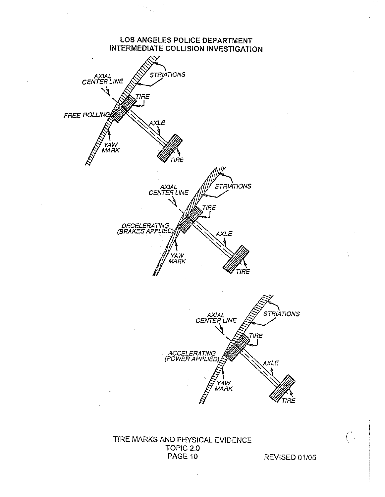

TIRE MARKS AND PHYSICAL EVIDENCE TOPIC 2.0 PAGE 10

REVISED 01/05

 $\int_{-\infty}^{\infty}$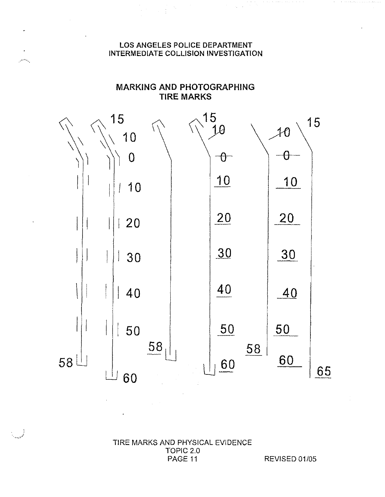$\label{eq:2.1} \begin{array}{ll} \mathbb{E}[\mathbb{E}[\mathbb{E}[\mathbb{E}[\mathbb{E}[\mathbb{E}[\mathbb{E}[\mathbb{E}[\mathbb{E}[\mathbb{E}[\mathbb{E}[\mathbb{E}[\mathbb{E}[\mathbb{E}[\mathbb{E}[\mathbb{E}[\mathbb{E}[\mathbb{E}[\mathbb{E}[\mathbb{E}[\mathbb{E}[\mathbb{E}[\mathbb{E}[\mathbb{E}[\mathbb{E}[\mathbb{E}[\mathbb{E}[\mathbb{E}[\mathbb{E}[\mathbb{E}[\mathbb{E}[\mathbb{E}[\mathbb{E}[\mathbb{E}$ 

 $\ddot{\phantom{0}}$ 

ريدوسين

#### **MARKING AND PHOTOGRAPHING TIRE MARKS**



#### TIRE MARKS AND PHYSICAL EVIDENCE TOPIC 2.0 PAGE 11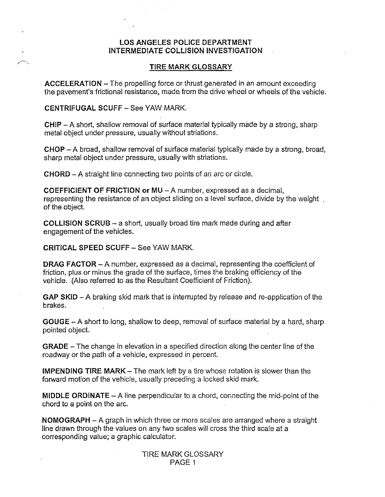#### **TIRE MARK GLOSSARY**

ACCELERATION —The propelling force or thrust generated in an amount exceeding the pavement's frictional resistance, made from the drive wheel or wheels of the vehicle.

CENTRIFUGAL SCUFF - See YAW MARK.

CHIP —A short, shallow removal of surface material typically made by a strong, sharp metal object under pressure, usually without striations.

CHOP —Abroad, shallow removal of surface maferiai typically made by a strong, broad, sharp metal object under pressure, usually wifh striations.

CHORD — A straight fine connecting fvro points of an arc or circle.

COEFFICIENT OF FRICTION or MU - A number, expressed as a decimal, representing the resistance of an object sliding on a level surface, divide by the weight of the object.

**COLLISION SCRUB – a short, usually broad tire mark made during and after** engagement of the vehicles.

CRITICAL SPEED SCUFF —See YAW MARK.

**DRAG FACTOR**  $- A$  number, expressed as a decimal, representing the coefficient of friction, plus or minus the grade of the surface, times the braking efficiency of the vehicle. (Also referred to as the Resultant Coefficient of Friction}.

GAP SKID – A braking skid mark that is interrupted by release and re-application of the brakes.

GOUGE — A short to long, shallow to deep, removal of surface material by a hard, sharp pointed object.

GRADE —The change in elevation in a specified direction along the center line of the roadway or the path of a vehicle, expressed in percent.

**IMPENDING TIRE MARK**  $-$  The mark left by a tire whose rotation is slower than the forward motion of the vehicle, usually preceding a locked skid mark\_

**MIDDLE ORDINATE**  $- A$  line perpendicular to a chord, connecting the mid-point of the chord to a point on the arc.

NOMOGRAPH — A graph in which three or more scales are arranged where a straight line drawn through the values on any two scales will cross the third scale at a corresponding value; a graphic calculator.

> TIRE MARK GLOSSARY PAGE 1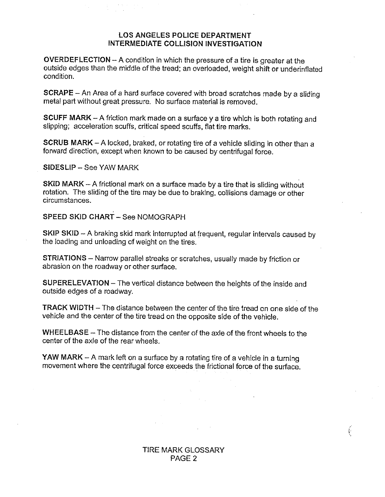OVERDEFLECTION —A condition in which fhe pressure of a tire is greater at the outside edges than the middle of the tread; an overloaded, weight shift or underinflated condition.

SCRAPE — An Area of a hard surface covered with broad scratches made by a sliding metal part without great pressure. No surface material is removed.

SCUFF MARK  $-$  A friction mark made on a surface y a tire which is both rotating and slipping; acceleration scuffs, critical speed scuffs, flat tire marks.

SCRUB MARK - A locked, braked, or rotating tire of a vehicle sliding in other than a forward direction, except when known to be caused by centrifugal force.

 $SIDESLIP - See YAW MARK$ 

SKID MARK -- A frictional mark on a surface made by a fire that is sliding without cotation. The sliding of the tire may be due to braking, collisions damage or other circumstances.

SPEED SKID CHART - See NOMOGRAPH

SKIP SKID - A braking skid mark interrupted at frequent, regular intervals caused by the loading and unloading of weight on the tires.

STRIATIONS —Narrow parallel streaks or scratches, usually made by friction or abrasion on the roadway or other surface.

SUPERELEVATION – The vertical distance between the heights of the inside and outside edges of a roadway.

**TRACK WIDTH** – The distance between the center of the tire tread on one side of the vehicle and the center of the tire tread on the opposite side of the vehicle.

WHEELBASE – The distance from the center of the axle of the front wheels to the center of the axle of the rear wheels.

YAW MARK – A mark left on a surface by a rotating tire of a vehicle in a turning movement where the centrifugal force exceeds the frictional force of the surface.

> TIRE MARK GLOSSARY PAGE 2

 $\langle$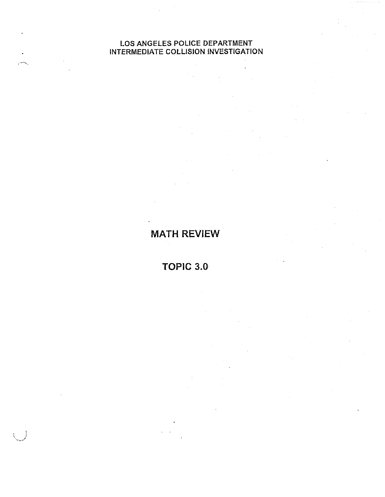**MATH REVIEW** 

TOPIC 3.0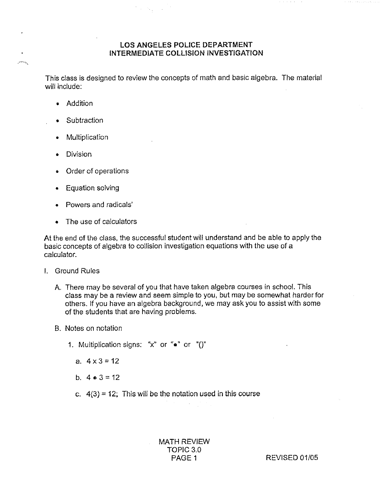$\mathcal{I} \times \mathcal{N}_\mathrm{f}$  , i.e.

This class is designed to review the concepts of math and basic algebra. The material will include:

Addition

يتمليني

- e Subtraction
- Multiplication
- **Division**
- Order of operations
- **Equation solving**
- Powers and radicals'
- The use of calculators

At the end of the class, the successful student wii! understand and be able to apply the basic concepts of algebra to collision investigation equations with the use of a calculator.

- **I.** Ground Rules
	- A. There may be several of you that have taken algebra courses in school. This class may be a review and seem simple to you, but may be somewhat harder for others. If you have an algebra background, we may ask you to assist with some of the students that are having problems.
	- B. Notes on notation
		- 1. Multiplication signs: "x" or " $\bullet$ " or "()"
			- a.  $4 \times 3 = 12$
			- b.  $4 \cdot 3 = 12$
			- c.  $4(3) = 12$ ; This will be the notation used in this course

MATH REVIEW TOPIC 3.0<br>PAGE 1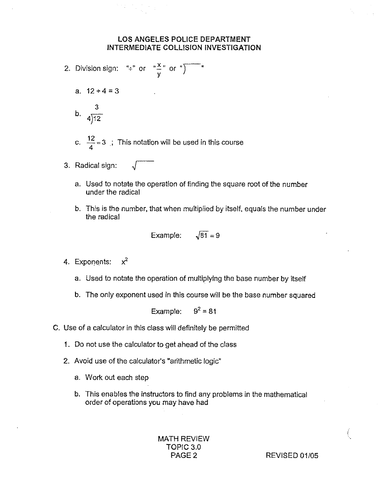- 2. Division sign: " $\div$ " or " $\frac{x}{y}$ " or " $\overline{y}$ " a.  $12 \div 4 = 3$ 3  $^{14}$  4  $\sqrt{12}$ c.  $\frac{12}{4}$  = 3 ; This notation will be used in this course
- 3. Radical sign:
	- a. Used fo notafe the operation of finding the square root of the number under the radical
	- b. This is the number, that when multiplied by itself, equals the number under the redicai

Example: 
$$
\sqrt{81} = 9
$$

- 4. Exponents:  $x^2$ 
	- a. Used to notate the operation of multiplying fhe base number by itself
	- b. The only exponent used in this course will be the base number squared

Example:  $9^2 = 81$ 

- C. Use of a calculator in this class will definitely be permitted
	- 1. Do not use the celculafor to get ahead of the class
	- 2. Avoid use of the calculator's "arithmetic logic"
		- a. Work out each step
		- b. This enables the instructors to find any problems in the mathematical order of operations you may have had

MATH REVIEW TOPIC 3.0

PAGE 2 REVISED 01/05

Ť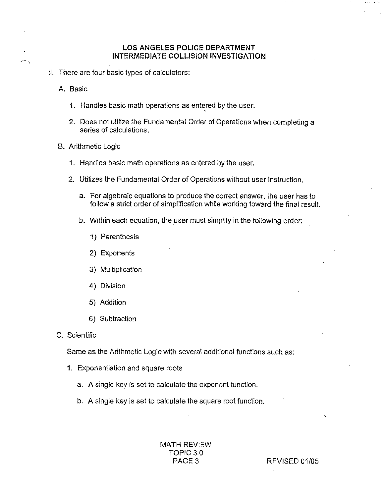il. There are four basic types of calculators:

A. Basic

- 1, Handles basic math operations as entered by the user.
- 2. Does not utilize the Fundamental Order of Operations when completing a series of calculations.
- B. Arithmetic logic
	- 1. Handles basic math operations as entered by the user.
	- 2. Utilizes the Fundamental Order of Operations without user instruction.
		- a. For algebraic equations to produce the correct answer, the user has to follow a strict order of simplification while working toward the final result.
		- b. Within each equation, the user must simplify in the following order:
			- 1) Parenthesis
			- 2} Exponents
			- 3)Multiplication
			- 4) Division
			- 5} Addition
			- 6) Subtraction
- C. Scientific

Same as the Arithmetic Logic with several additional functions such as:

- 3. Exponentiation and square roots
	- a. A single key is set to calculate the exponent function.
	- b. A single key is set to calculate the square root function.

MATH REVIEW TOPIC 3.0<br>PAGE 3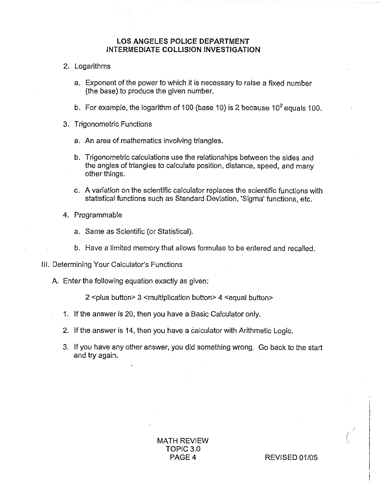- 2. Logarithms
	- a. Exponent of the power to which it is necessary to raise a fixed number (the base) to produce the given number.
	- b. For example, the logarithm of 100 (base 10) is 2 because  $10^2$  equals 100.
- 3. Trigonometric Functions
	- a. An area of mathematics involving triangles.
	- b. Trigonometric calculations use the relationships between the sides and the angles of triangles to calculate position, distance, speed, and many other things.
	- c. A variation on the scientific calculator replaces the scientific functions with statistical functions such as Standard Deviation, 'Sigma' functions, etc.
- 4. Programmable
	- a. Same as Scientific (or Statistical).
	- b. Have a limited memory that allows formulae to be entered and recalled.
- III. Determining Your Calculator's Functions
	- A. Enter the following equation exactly as given:

2 <plus button> 3 <multiplication button> 4 <equal button>

- 1. If the answer is 20, then you have a Basic Calculator only.
- 2. If the answer is 14, then you have a calculator with Arithmetic Logic.
- 3. If you have any other answer, you did something wrong. Go back to the start and try again.

**MATH REVIEW** TOPIC 3.0 PAGE 4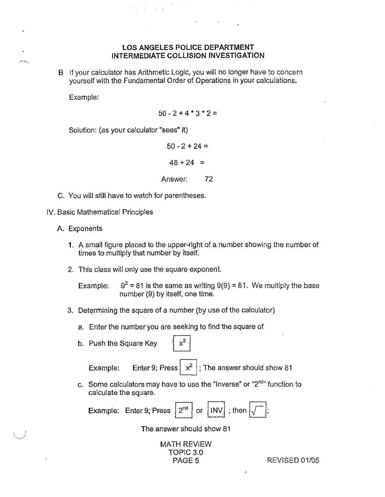B If your calculator has Arithmetic Logic, you will no longer have to concern yourself with the Fundamental Order of Operations in your calculations.

Example:

 $\mathcal{C}^{(1)}$  for

 $50 - 2 + 4 * 3 * 2 =$ 

Solution: (as your calculator "sees" if)

 $50 - 2 + 24 =$  $48 + 24 =$ Answer: 72

- C. You will still have to watch for parentheses.
- IV. Basic Mathematical Principles
	- A. Exponents
		- 9. A small figure placed to the upper-right of a number showing the number of times to multiply that number by itself.
		- 2. This class will only use the square exponent

Example:  $9^2$  = 81 is the same as writing 9(9) = 81. We multiply the base number {9) by itself, one time.

- 3. Determining the square of a number (by use of the calculator)
	- a. Enter fhe number you are seeking to find the square of
	- b. Push the Square Key

Push the Square Key<br>Example: Enter 9; Press  $\boxed{x^2}$ ; The answer should show 81

c. Some calculators may have to use the "Inverse" or "2"d" function to calculate the square.

Example: Enter 9; Press  $2<sup>nd</sup>$  or  $|INV|$ ; then

The answer should show 81

**MATH REVIEW** TOPIC 3.0<br>PAGE 5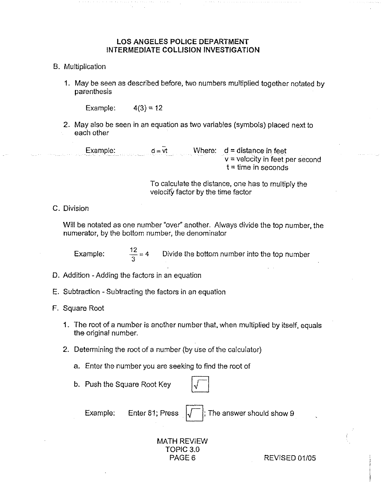- B. Multiplication
	- 1. May be seen as described before, hvo numbers multiplied togefher notafed by parenthesis

Example:  $4(3) = 12$ 

2. May aiso be seen in an equation as iwo variables (symbols) placed next to each other

Example:  $d = \overline{v}t$  Where:  $d = \text{distance in feet}$ v =velocity in feet per second  $t =$  time in seconds

> To calculate the distance, one has to multiply the velocity factor by the time factor

C. Division

Will be notated as one number "over" another. Always divide the top number, the numerator, by the bottom number, the denominator

Example:  $\frac{12}{3} = 4$  Divide the bottom number into the top number

D. Addition - Adding the factors in an equation

- E. Subtraction -Subtracting the factors in an equation
- F. Square Roat
	- 1. The root of a number is another number that, when multiplied by itself, equals the original number.
	- 2. Determining the root of a number (by use of the calculator)
		- a. Enter the number you are seeking to find the root of<br>b. Push the Square Root Key  $\sqrt{\sqrt{\phantom{00\sqrt{\hbar}}\sqrt{\phantom{00\sqrt{\hbar}}\sqrt{\phantom{0}}\sqrt{\phantom{0}}\sqrt{\phantom{0}}\sqrt{\phantom{0}}\sqrt{\phantom{0}}\sqrt{\phantom{0}}\sqrt{\phantom{0}}\sqrt{\phantom{0}}\sqrt{\phantom{0}}\sqrt{\phantom{0}}\sqrt{\phantom{0}}\sqrt{\phantom{0}}\sqrt{\phantom{0}}\sqrt$
		-

Example: Enter 81; Press  $\sqrt{\frac{1}{2}}$ ; The answer should show 9

## MATH REVIEW TOPiC 3.0

PAGE 6 REVISED 01/05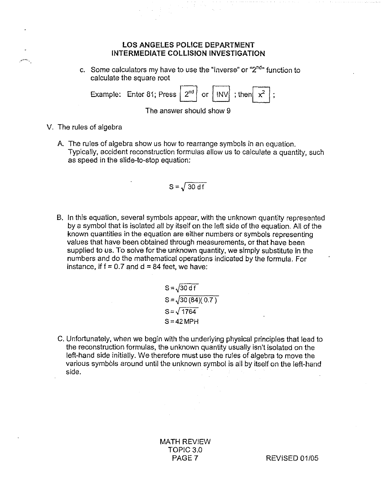c. Some calculators my have to use the "Inverse" or " $2^{nd}$ " function to calculate the square root

|                          | Example: Enter 81; Press $\boxed{2^{nd}}$ or $\boxed{INV}$ ; then $\boxed{x^2}$ ; |  |  |  |  |  |  |
|--------------------------|-----------------------------------------------------------------------------------|--|--|--|--|--|--|
| The answer should show 9 |                                                                                   |  |  |  |  |  |  |

V. The rules of algebra

James J

A. The rules of algebra show us how to rearrange symbols in an equation. Typically, accident reconstruction iormuias allow us to calculate a quantity, such as speed in the slide-fo-stop equation:

$$
S = \sqrt{30 df}
$$

B. In this equation, several symbols appear, with the unknown quantity represented by a symbol that is isolated all by itself on the left side of the equation. All of the known quantities in the equation are either numbers or symbols representing values that have been obfained through measurements, or that have been supplied to us. To solve for the unknown quantity, we simply substitute in the numbers and do fhe mathemaficai operations indicated by the formula. For instance, if  $f = 0.7$  and  $d = 84$  feet, we have:

$$
S = \sqrt{30 df}
$$
  
\n
$$
S = \sqrt{30 (84) (0.7)}
$$
  
\n
$$
S = \sqrt{1764}
$$
  
\n
$$
S = 42 MPH
$$

C. Unfortunately, when we begin with the underlying physical principles that lead to the reconstruction formulas, fhe unknawn quantity usually isn't isolated on the left-hand side initially. We therefore must use fhe rules of algebra to move the various symbols around until the unknown symbol is all by itself on the left-hand side.

> MATH REVIEW TOPIC 3.0<br>PAGE 7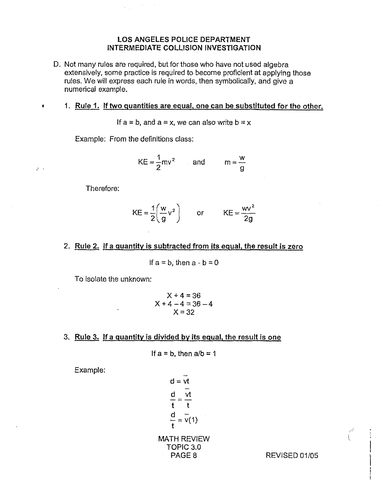- D. Not many rules are required, but for those who have not used algebra extensively, some practice is required to become proficient at applying those rules. We will express each rule in words, then symbolically, and give a numerical example.
	- 1. Rule 1. If two quantities are equal, one can be substituted for the other.

If  $a = b$ , and  $a = x$ , we can also write  $b = x$ 

Example: From the definitions class:

 $\mathcal{A} \times \mathcal{A} \to \mathcal{A}$ 

$$
KE = \frac{1}{2}mv^2 \qquad \text{and} \qquad m = \frac{w}{g}
$$

Therefore:

 $\blacklozenge$ 

 $\mathcal{L}^{\text{max}}$ 

$$
KE = \frac{1}{2} \left( \frac{w}{g} v^2 \right) \qquad \text{or} \qquad KE = \frac{wv^2}{2g}
$$

2. Rule 2. If a quantity is subtracted from its equal, the result is zero

If  $a = b$ , then  $a - b = 0$ 

To isolate the unknown:

$$
X + 4 = 36
$$
  
X + 4 - 4 = 36 - 4  
X = 32

3. Rule 3. If a quantity is divided by its equal, the result is one

If 
$$
a = b
$$
, then  $a/b = 1$ 

Example:

 $\frac{d}{dt} = \frac{d}{dt}$ t t  $\frac{d}{dx} = v(1)$ MATH REVIEW TOPIC 3.0<br>PAGE 8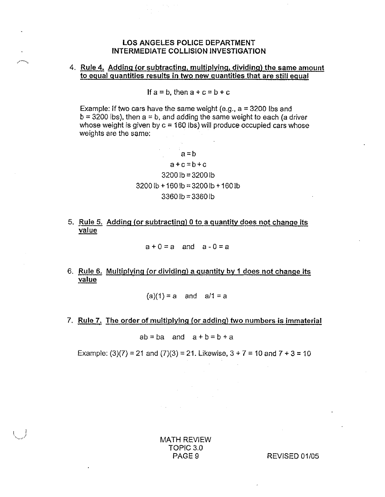## 4. <u>Rule 4. Adding (or subtracting, multiplying, dividing) the same amount</u><br>to equal quantities result<u>s in two new quantities that are still eq</u>ual

If  $a = b$ , then  $a + c = b + c$ 

Example: If two cars have the same weight (e.g.,  $a = 3200$  lbs and  $b = 3200$  lbs), then  $a = b$ , and adding the same weight to each (a driver whose weight is given by  $c = 160$  lbs) will produce occupied cars whose weights are the same:

> $a = b$  $a+c=b+c$  $32001b = 32001b$  $3200 \text{ lb} + 160 \text{ lb} = 3200 \text{ lb} + 160 \text{ lb}$ 3360 ib = 3360 Ib

5. Rule 5. Adding (or subtracting)  $0$  to a quantity does not change its value

 $a+0=a$  and  $a-0=a$ 

6. Rule 6. Multiplying (or dividing) a quantity by 1 does not change its value

 $(a)(1) = a$  and  $a/1 = a$ 

7. Rule 7. The order of multiplying (or adding) two numbers is immaterial

 $ab = ba$  and  $a + b = b + a$ 

Example: (3)(7) = 21 and (7)(3) = 21. Likewise,  $3 + 7 = 10$  and  $7 + 3 = 10$ 

MATH REVIEW TOPlC 3.0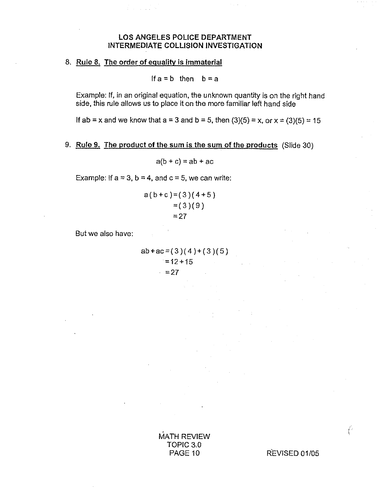#### 8. Rule 8. The order of equality is immaterial

a sa Ti

If  $a = b$  then  $b = a$ 

Example: If, in an original equation, the unknown quantity is on the right hand side, this rule allows us to place it on the more familiar left hand side

If ab = x and we know that  $a = 3$  and  $b = 5$ , then  $(3)(5) = x$ , or  $x = (3)(5) = 15$ 

#### 9. Rule 9. The product of the sum is the sum of the products (Slide 30)

 $a(b + c) = ab + ac$ 

Example: If  $a = 3$ ,  $b = 4$ , and  $c = 5$ , we can write:

$$
a(b+c)=(3)(4+5)= (3)(9)=27
$$

But we also have:

 $ab+ac=(3)(4)+(3)(5)$  $= 12 + 15$  $\approx$  = 27

 $\hat{A}_{\rm{max}}$  , and  $\hat{A}_{\rm{max}}$  , and  $\hat{A}_{\rm{max}}$ 

**MATH REVIEW** TOPIC 3.0 PAGE 10

REVISED 01/05

Ť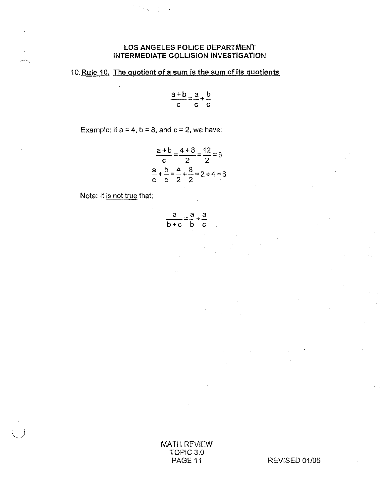#### 10. Rule 10. The quotient of a sum is the sum of its quotients

$$
\frac{a+b}{c} = \frac{a}{c} + \frac{b}{c}
$$

Example: If  $a = 4$ ,  $b = 8$ , and  $c = 2$ , we have:

$$
\frac{a+b}{c} = \frac{4+8}{2} = \frac{12}{2} = 6
$$
  

$$
\frac{a}{c} + \frac{b}{c} = \frac{4}{2} + \frac{8}{2} = 2 + 4 = 6
$$

Note: It is not true that:

protect.

$$
\frac{a}{b+c} = \frac{a}{b} + \frac{a}{c}
$$

**MATH REVIEW** TOPIC 3.0 PAGE 11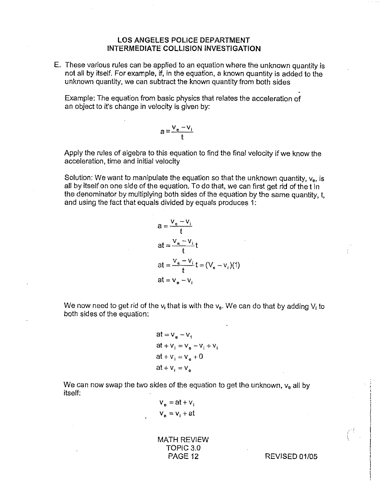E. These various rules can be applied to an equation where the unknown quantity is not all by itself. For example, if, in the equation, a known quantity is added to the unknown quaniity, we can subtract the known quantity from both sides

Example: The equation from basic physics that relates the acceleration of an object to it's change in velocity is given by:

$$
a = \frac{v_e - v_i}{t}
$$

Apply the rules of algebra to this equation to find the final velocity if we know the acceleration, time and initial velocity

Solution: We want to manipulate the equation so that the unknown quantity,  $v_{e}$ , is alt by itself on one side of the equation. To do that, we can first get rid of the t in the denominator by multiplying both sides of the equation by the same quantity, t, and using the fact that equals divided by equals produces 1:

$$
a = \frac{v_e - v_i}{t}
$$
  
at = 
$$
\frac{v_e - v_i}{t}t
$$
  
at = 
$$
\frac{v_e - v_i}{t}t = (V_e - v_i)(1)
$$
  
at = 
$$
v_e - v_i
$$

We now need to get rid of the  $v_i$  that is with the  $v_e$ . We can do that by adding  $V_i$  to both sides of the equation:

$$
at = ve - v1
$$
  
at + v<sub>i</sub> = v<sub>e</sub> - v<sub>i</sub> + v<sub>i</sub>  
at + v<sub>i</sub> = v<sub>e</sub> + 0  
at + v<sub>i</sub> = v<sub>e</sub>

We can now swap the two sides of the equation to get the unknown,  $v_{e}$  all by itself:

 $V_e = at + V_i$  $V_e = V_i + at$ 

MATH REVIEW TOPIC 3.0<br>PAGE 12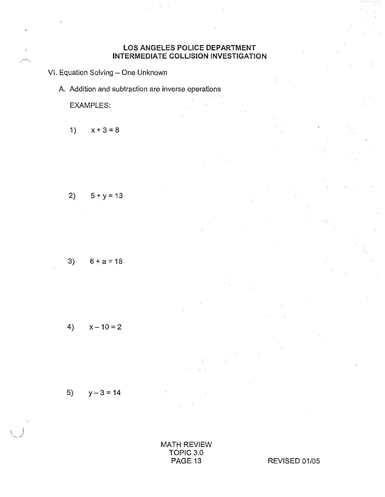VI. Equation Solving - One Unknown

A. Addition and subtraction are inverse operations

**EXAMPLES:** 

۰.

 $1)$  $x + 3 = 8$ 

$$
2) \qquad 5 + y = 13
$$

$$
3) \qquad 6+a=18
$$

$$
(\mathcal{M}_\mathcal{A},\mathcal{M}_\mathcal{A},\mathcal{M}_\mathcal{A},\mathcal{M}_\mathcal{A},\mathcal{M}_\mathcal{A},\mathcal{M}_\mathcal{A},\mathcal{M}_\mathcal{A},\mathcal{M}_\mathcal{A},\mathcal{M}_\mathcal{A},\mathcal{M}_\mathcal{A},\mathcal{M}_\mathcal{A},\mathcal{M}_\mathcal{A},\mathcal{M}_\mathcal{A},\mathcal{M}_\mathcal{A},\mathcal{M}_\mathcal{A},\mathcal{M}_\mathcal{A},\mathcal{M}_\mathcal{A},\mathcal{M}_\mathcal{A},\mathcal{M}_\mathcal{A},\mathcal{M}_\mathcal{A},\mathcal{M}_\mathcal{A},\mathcal{M}_\mathcal{A},\mathcal{M}_\mathcal{A},\mathcal{M}_\mathcal{A},\mathcal{M}_\mathcal{A},\mathcal{M}_\mathcal{A},\mathcal{M}_\mathcal{A},\mathcal{M}_\mathcal{A},\mathcal{M}_\mathcal{A},\mathcal{M}_\mathcal{A},\mathcal{M}_\mathcal{A},\mathcal{M}_\mathcal{A},\mathcal{M}_\mathcal{A},\mathcal{M}_\mathcal{A},\mathcal{M}_\mathcal{A},\mathcal{M}_\mathcal{A},\mathcal{M}_\mathcal{A},\mathcal{M}_\mathcal{A},\mathcal{M}_\mathcal{A},\mathcal{M}_\mathcal{A},\mathcal{M}_\mathcal{A},\mathcal{M}_\mathcal{A},\mathcal{M}_\mathcal{A},\mathcal{M}_\mathcal{A},\mathcal{M}_\mathcal{A},\mathcal{M}_\mathcal{A},\mathcal{M}_\mathcal{A},\mathcal{M}_\mathcal{A},\mathcal{M}_\mathcal{A},\mathcal{M}_\mathcal{A},\mathcal{M}_\mathcal{A},\mathcal{M}_\mathcal{A},\mathcal{M}_\mathcal{A},\mathcal{M}_\mathcal{A},\mathcal{M}_\mathcal{A},\mathcal{M}_\mathcal{A},\mathcal{M}_\mathcal{A},\mathcal{M}_\mathcal{A},\mathcal{M}_\mathcal{A},\mathcal{M}_\mathcal{A},\mathcal{M}_\mathcal{A},\mathcal{M}_\mathcal{A},\mathcal{M}_\mathcal{A},\mathcal
$$

$$
4) \qquad x-10=2
$$

$$
5) \qquad y-3=14
$$

MATH REVIEW TOPIC 3.0 PAGE 13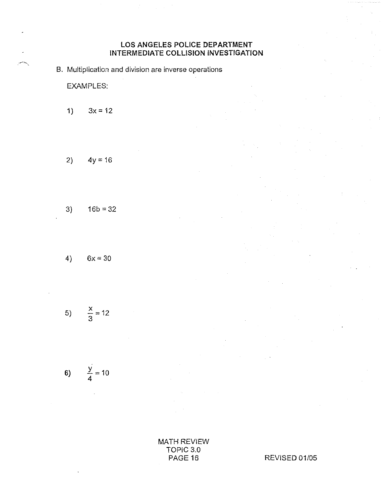B. Multiplication and division are inverse operations

**EXAMPLES.** 

 $1)$  $3x = 12$ 

$$
2) \qquad 4y = 16
$$

$$
3) \qquad 16b = 32
$$

$$
4) \qquad 6x = 30
$$

$$
5) \qquad \frac{x}{3} = 12
$$

6) 
$$
\frac{y}{4} = 10
$$

**MATH REVIEW** TOPIC 3.0 PAGE 16